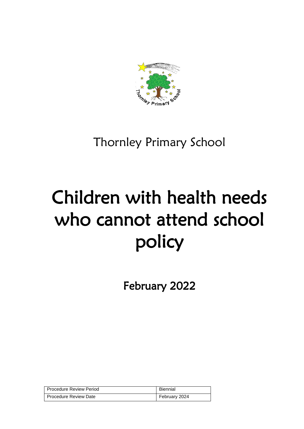

# Thornley Primary School

# Children with health needs who cannot attend school policy

February 2022

| Procedure Review Period      | Biennial      |
|------------------------------|---------------|
| <b>Procedure Review Date</b> | February 2024 |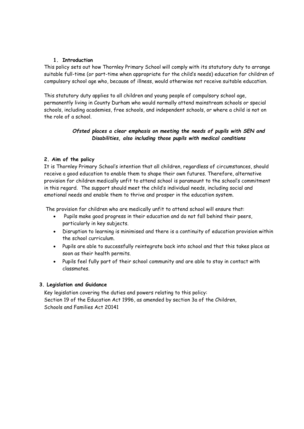### **1. Introduction**

This policy sets out how Thornley Primary School will comply with its statutory duty to arrange suitable full-time (or part-time when appropriate for the child's needs) education for children of compulsory school age who, because of illness, would otherwise not receive suitable education.

This statutory duty applies to all children and young people of compulsory school age, permanently living in County Durham who would normally attend mainstream schools or special schools, including academies, free schools, and independent schools, or where a child is not on the role of a school.

# *Ofsted places a clear emphasis on meeting the needs of pupils with SEN and Disabilities, also including those pupils with medical conditions*

# **2. Aim of the policy**

It is Thornley Primary School's intention that all children, regardless of circumstances, should receive a good education to enable them to shape their own futures. Therefore, alternative provision for children medically unfit to attend school is paramount to the school's commitment in this regard. The support should meet the child's individual needs, including social and emotional needs and enable them to thrive and prosper in the education system.

The provision for children who are medically unfit to attend school will ensure that:

- Pupils make good progress in their education and do not fall behind their peers, particularly in key subjects.
- Disruption to learning is minimised and there is a continuity of education provision within the school curriculum.
- Pupils are able to successfully reintegrate back into school and that this takes place as soon as their health permits.
- Pupils feel fully part of their school community and are able to stay in contact with classmates.

# **3. Legislation and Guidance**

Key legislation covering the duties and powers relating to this policy: Section 19 of the Education Act 1996, as amended by section 3a of the Children, Schools and Families Act 20141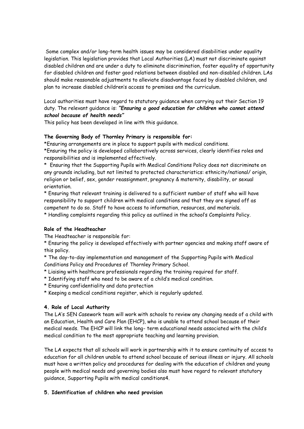Some complex and/or long-term health issues may be considered disabilities under equality legislation. This legislation provides that Local Authorities (LA) must not discriminate against disabled children and are under a duty to eliminate discrimination, foster equality of opportunity for disabled children and foster good relations between disabled and non-disabled children. LAs should make reasonable adjustments to alleviate disadvantage faced by disabled children, and plan to increase disabled children's access to premises and the curriculum.

Local authorities must have regard to statutory guidance when carrying out their Section 19 duty. The relevant guidance is: *"Ensuring a good education for children who cannot attend school because of health needs"* 

This policy has been developed in line with this guidance.

# **The Governing Body of Thornley Primary is responsible for:**

\*Ensuring arrangements are in place to support pupils with medical conditions.

\*Ensuring the policy is developed collaboratively across services, clearly identifies roles and responsibilities and is implemented effectively.

\* Ensuring that the Supporting Pupils with Medical Conditions Policy does not discriminate on any grounds including, but not limited to protected characteristics: ethnicity/national/ origin, religion or belief, sex, gender reassignment, pregnancy & maternity, disability, or sexual orientation.

\* Ensuring that relevant training is delivered to a sufficient number of staff who will have responsibility to support children with medical conditions and that they are signed off as competent to do so. Staff to have access to information, resources, and materials.

\* Handling complaints regarding this policy as outlined in the school's Complaints Policy.

#### **Role of the Headteacher**

The Headteacher is responsible for:

\* Ensuring the policy is developed effectively with partner agencies and making staff aware of this policy.

\* The day-to-day implementation and management of the Supporting Pupils with Medical Conditions Policy and Procedures of Thornley Primary School.

- \* Liaising with healthcare professionals regarding the training required for staff.
- \* Identifying staff who need to be aware of a child's medical condition.
- \* Ensuring confidentiality and data protection
- \* Keeping a medical conditions register, which is regularly updated.

# **4. Role of Local Authority**

The LA's SEN Casework team will work with schools to review any changing needs of a child with an Education, Health and Care Plan (EHCP), who is unable to attend school because of their medical needs. The EHCP will link the long- term educational needs associated with the child's medical condition to the most appropriate teaching and learning provision.

The LA expects that all schools will work in partnership with it to ensure continuity of access to education for all children unable to attend school because of serious illness or injury. All schools must have a written policy and procedures for dealing with the education of children and young people with medical needs and governing bodies also must have regard to relevant statutory guidance, Supporting Pupils with medical conditions4.

# **5. Identification of children who need provision**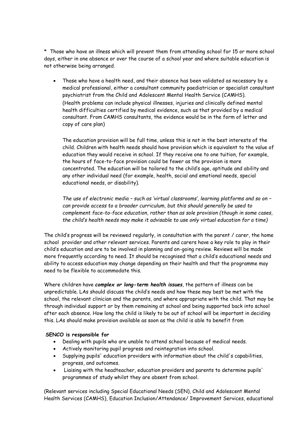\* Those who have an illness which will prevent them from attending school for 15 or more school days, either in one absence or over the course of a school year and where suitable education is not otherwise being arranged.

 Those who have a health need, and their absence has been validated as necessary by a medical professional, either a consultant community paediatrician or specialist consultant psychiatrist from the Child and Adolescent Mental Health Service (CAMHS). (Health problems can include physical illnesses, injuries and clinically defined mental health difficulties certified by medical evidence, such as that provided by a medical consultant. From CAMHS consultants, the evidence would be in the form of letter and copy of care plan)

The education provision will be full time, unless this is not in the best interests of the child. Children with health needs should have provision which is equivalent to the value of education they would receive in school. If they receive one to one tuition, for example, the hours of face-to-face provision could be fewer as the provision is more concentrated. The education will be tailored to the child's age, aptitude and ability and any other individual need (for example, health, social and emotional needs, special educational needs, or disability).

*The use of electronic media – such as 'virtual classrooms', learning platforms and so on – can provide access to a broader curriculum, but this should generally be used to complement face-to-face education, rather than as sole provision (though in some cases, the child's health needs may make it advisable to use only virtual education for a time)*

The child's progress will be reviewed regularly, in consultation with the parent / carer, the home school provider and other relevant services. Parents and carers have a key role to play in their child's education and are to be involved in planning and on-going review. Reviews will be made more frequently according to need. It should be recognised that a child's educational needs and ability to access education may change depending on their health and that the programme may need to be flexible to accommodate this.

Where children have *complex or long-term health issues*, the pattern of illness can be unpredictable. LAs should discuss the child's needs and how these may best be met with the school, the relevant clinician and the parents, and where appropriate with the child. That may be through individual support or by them remaining at school and being supported back into school after each absence. How long the child is likely to be out of school will be important in deciding this. LAs should make provision available as soon as the child is able to benefit from

# **SENCO is responsible for**

- Dealing with pupils who are unable to attend school because of medical needs.
- Actively monitoring pupil progress and reintegration into school.
- Supplying pupils' education providers with information about the child's capabilities, progress, and outcomes.
- Liaising with the headteacher, education providers and parents to determine pupils' programmes of study whilst they are absent from school.

(Relevant services including Special Educational Needs (SEN), Child and Adolescent Mental Health Services (CAMHS), Education Inclusion/Attendance/ Improvement Services, educational